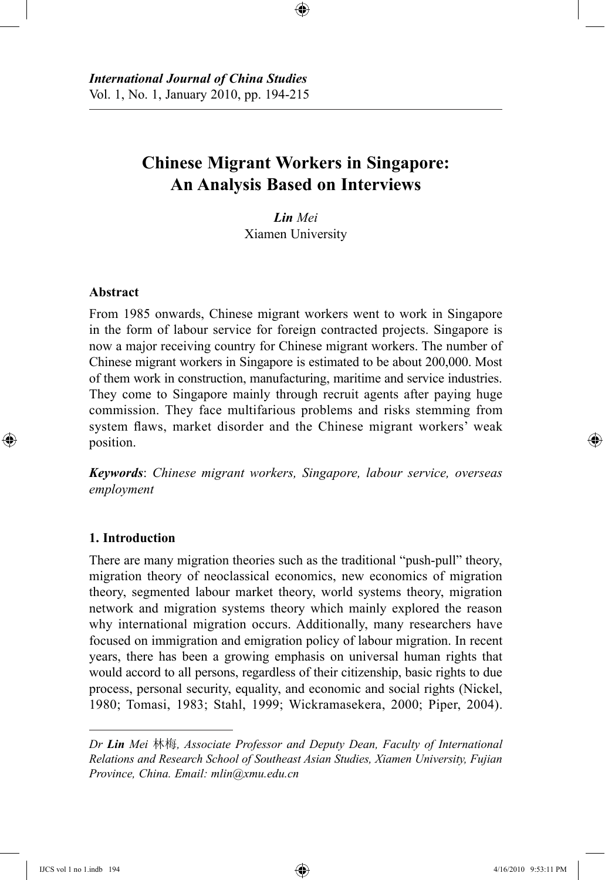# **Chinese Migrant Workers in Singapore: An Analysis Based on Interviews**

⊕

*Lin Mei* Xiamen University

## **Abstract**

⊕

From 1985 onwards, Chinese migrant workers went to work in Singapore in the form of labour service for foreign contracted projects. Singapore is now a major receiving country for Chinese migrant workers. The number of Chinese migrant workers in Singapore is estimated to be about 200,000. Most of them work in construction, manufacturing, maritime and service industries. They come to Singapore mainly through recruit agents after paying huge commission. They face multifarious problems and risks stemming from system flaws, market disorder and the Chinese migrant workers' weak position.

*Keywords*: *Chinese migrant workers, Singapore, labour service, overseas employment*

#### **1. Introduction**

There are many migration theories such as the traditional "push-pull" theory, migration theory of neoclassical economics, new economics of migration theory, segmented labour market theory, world systems theory, migration network and migration systems theory which mainly explored the reason why international migration occurs. Additionally, many researchers have focused on immigration and emigration policy of labour migration. In recent years, there has been a growing emphasis on universal human rights that would accord to all persons, regardless of their citizenship, basic rights to due process, personal security, equality, and economic and social rights (Nickel, 1980; Tomasi, 1983; Stahl, 1999; Wickramasekera, 2000; Piper, 2004).

*Dr Lin Mei* 林梅*, Associate Professor and Deputy Dean, Faculty of International Relations and Research School of Southeast Asian Studies, Xiamen University, Fujian Province, China. Email: mlin@xmu.edu.cn*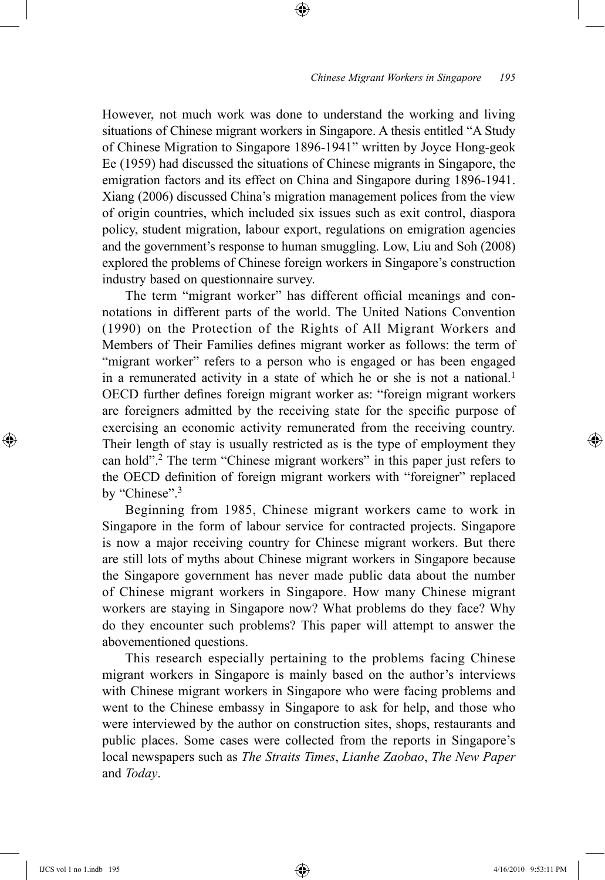However, not much work was done to understand the working and living situations of Chinese migrant workers in Singapore. A thesis entitled "A Study of Chinese Migration to Singapore 1896-1941" written by Joyce Hong-geok Ee (1959) had discussed the situations of Chinese migrants in Singapore, the emigration factors and its effect on China and Singapore during 1896-1941. Xiang (2006) discussed China's migration management polices from the view of origin countries, which included six issues such as exit control, diaspora policy, student migration, labour export, regulations on emigration agencies and the government's response to human smuggling. Low, Liu and Soh (2008) explored the problems of Chinese foreign workers in Singapore's construction industry based on questionnaire survey.

⊕

The term "migrant worker" has different official meanings and connotations in different parts of the world. The United Nations Convention (1990) on the Protection of the Rights of All Migrant Workers and Members of Their Families defines migrant worker as follows: the term of "migrant worker" refers to a person who is engaged or has been engaged in a remunerated activity in a state of which he or she is not a national.<sup>1</sup> OECD further defines foreign migrant worker as: "foreign migrant workers are foreigners admitted by the receiving state for the specific purpose of exercising an economic activity remunerated from the receiving country. Their length of stay is usually restricted as is the type of employment they can hold".2 The term "Chinese migrant workers" in this paper just refers to the OECD definition of foreign migrant workers with "foreigner" replaced by "Chinese".<sup>3</sup>

Beginning from 1985, Chinese migrant workers came to work in Singapore in the form of labour service for contracted projects. Singapore is now a major receiving country for Chinese migrant workers. But there are still lots of myths about Chinese migrant workers in Singapore because the Singapore government has never made public data about the number of Chinese migrant workers in Singapore. How many Chinese migrant workers are staying in Singapore now? What problems do they face? Why do they encounter such problems? This paper will attempt to answer the abovementioned questions.

This research especially pertaining to the problems facing Chinese migrant workers in Singapore is mainly based on the author's interviews with Chinese migrant workers in Singapore who were facing problems and went to the Chinese embassy in Singapore to ask for help, and those who were interviewed by the author on construction sites, shops, restaurants and public places. Some cases were collected from the reports in Singapore's local newspapers such as *The Straits Times*, *Lianhe Zaobao*, *The New Paper* and *Today*.

⊕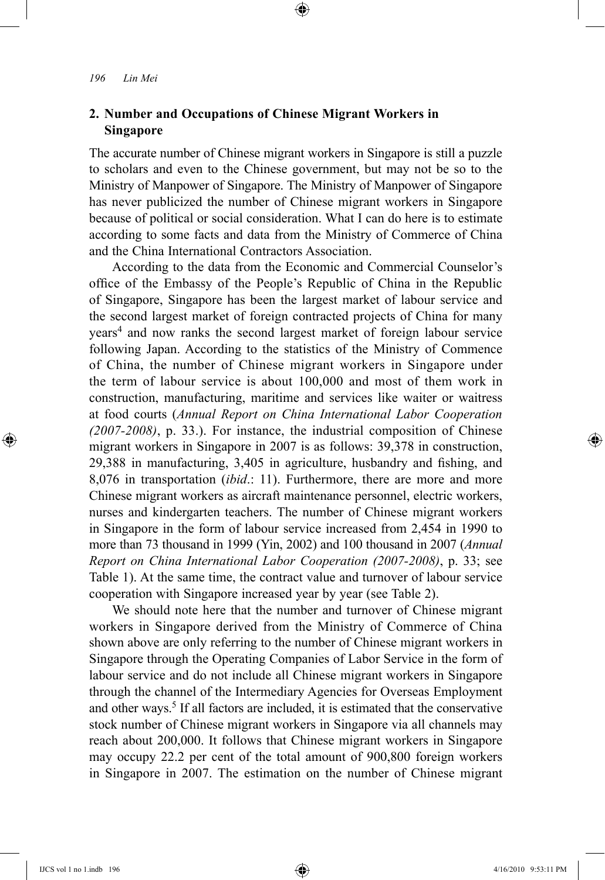# **2. Number and Occupations of Chinese Migrant Workers in Singapore**

The accurate number of Chinese migrant workers in Singapore is still a puzzle to scholars and even to the Chinese government, but may not be so to the Ministry of Manpower of Singapore. The Ministry of Manpower of Singapore has never publicized the number of Chinese migrant workers in Singapore because of political or social consideration. What I can do here is to estimate according to some facts and data from the Ministry of Commerce of China and the China International Contractors Association.

⊕

According to the data from the Economic and Commercial Counselor's office of the Embassy of the People's Republic of China in the Republic of Singapore, Singapore has been the largest market of labour service and the second largest market of foreign contracted projects of China for many years4 and now ranks the second largest market of foreign labour service following Japan. According to the statistics of the Ministry of Commence of China, the number of Chinese migrant workers in Singapore under the term of labour service is about 100,000 and most of them work in construction, manufacturing, maritime and services like waiter or waitress at food courts (*Annual Report on China International Labor Cooperation (2007-2008)*, p. 33.). For instance, the industrial composition of Chinese migrant workers in Singapore in 2007 is as follows: 39,378 in construction, 29,388 in manufacturing, 3,405 in agriculture, husbandry and fishing, and 8,076 in transportation (*ibid*.: 11). Furthermore, there are more and more Chinese migrant workers as aircraft maintenance personnel, electric workers, nurses and kindergarten teachers. The number of Chinese migrant workers in Singapore in the form of labour service increased from 2,454 in 1990 to more than 73 thousand in 1999 (Yin, 2002) and 100 thousand in 2007 (*Annual Report on China International Labor Cooperation (2007-2008)*, p. 33; see Table 1). At the same time, the contract value and turnover of labour service cooperation with Singapore increased year by year (see Table 2).

We should note here that the number and turnover of Chinese migrant workers in Singapore derived from the Ministry of Commerce of China shown above are only referring to the number of Chinese migrant workers in Singapore through the Operating Companies of Labor Service in the form of labour service and do not include all Chinese migrant workers in Singapore through the channel of the Intermediary Agencies for Overseas Employment and other ways.<sup>5</sup> If all factors are included, it is estimated that the conservative stock number of Chinese migrant workers in Singapore via all channels may reach about 200,000. It follows that Chinese migrant workers in Singapore may occupy 22.2 per cent of the total amount of 900,800 foreign workers in Singapore in 2007. The estimation on the number of Chinese migrant

⊕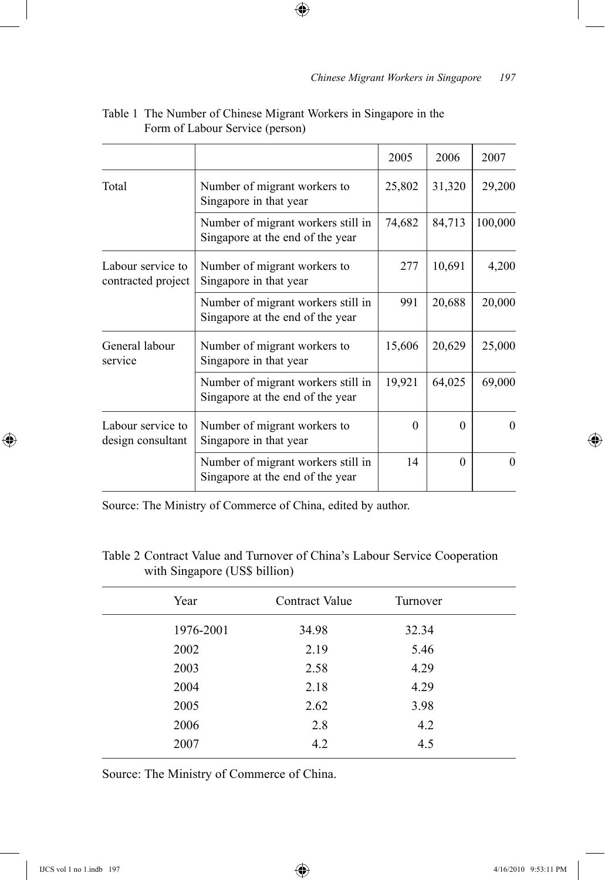|                                         |                                                                        | 2005     | 2006     | 2007     |
|-----------------------------------------|------------------------------------------------------------------------|----------|----------|----------|
| Total                                   | Number of migrant workers to<br>Singapore in that year                 | 25,802   | 31,320   | 29,200   |
|                                         | Number of migrant workers still in<br>Singapore at the end of the year | 74,682   | 84,713   | 100,000  |
| Labour service to<br>contracted project | Number of migrant workers to<br>Singapore in that year                 | 277      | 10,691   | 4,200    |
|                                         | Number of migrant workers still in<br>Singapore at the end of the year | 991      | 20,688   | 20,000   |
| General labour<br>service               | Number of migrant workers to<br>Singapore in that year                 | 15,606   | 20,629   | 25,000   |
|                                         | Number of migrant workers still in<br>Singapore at the end of the year | 19,921   | 64,025   | 69,000   |
| Labour service to<br>design consultant  | Number of migrant workers to<br>Singapore in that year                 | $\Omega$ | $\Omega$ | $\theta$ |
|                                         | Number of migrant workers still in<br>Singapore at the end of the year | 14       | $\Omega$ | $\theta$ |

# Table 1 The Number of Chinese Migrant Workers in Singapore in the Form of Labour Service (person)

 $\bigoplus$ 

Source: The Ministry of Commerce of China, edited by author.

# Table 2 Contract Value and Turnover of China's Labour Service Cooperation with Singapore (US\$ billion)

| Year      | Contract Value | Turnover |  |
|-----------|----------------|----------|--|
| 1976-2001 | 34.98          | 32.34    |  |
| 2002      | 2.19           | 5.46     |  |
| 2003      | 2.58           | 4.29     |  |
| 2004      | 2.18           | 4.29     |  |
| 2005      | 2.62           | 3.98     |  |
| 2006      | 2.8            | 4.2      |  |
| 2007      | 4.2            | 4.5      |  |
|           |                |          |  |

Source: The Ministry of Commerce of China.

⊕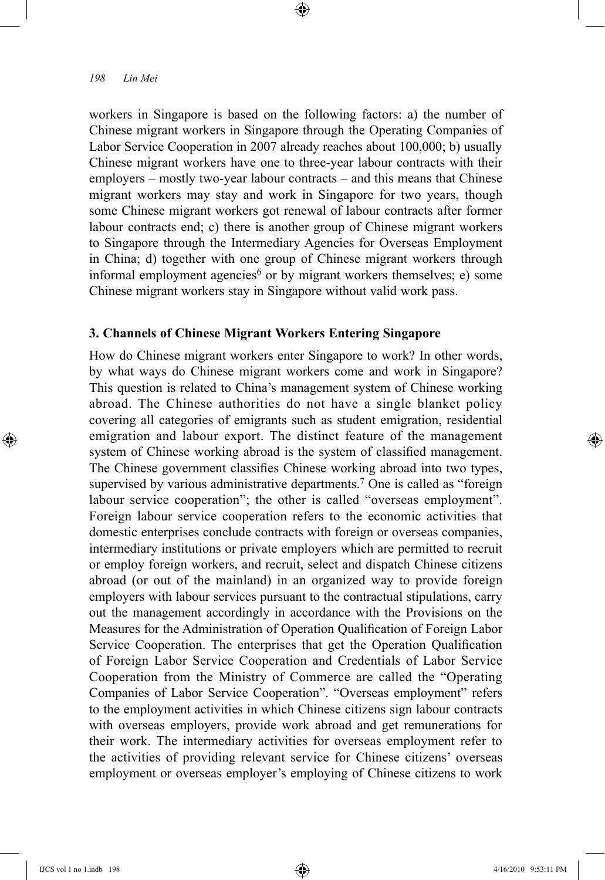workers in Singapore is based on the following factors: a) the number of Chinese migrant workers in Singapore through the Operating Companies of Labor Service Cooperation in 2007 already reaches about 100,000; b) usually Chinese migrant workers have one to three-year labour contracts with their employers – mostly two-year labour contracts – and this means that Chinese migrant workers may stay and work in Singapore for two years, though some Chinese migrant workers got renewal of labour contracts after former labour contracts end; c) there is another group of Chinese migrant workers to Singapore through the Intermediary Agencies for Overseas Employment in China; d) together with one group of Chinese migrant workers through informal employment agencies<sup>6</sup> or by migrant workers themselves; e) some Chinese migrant workers stay in Singapore without valid work pass.

⊕

## **3. Channels of Chinese Migrant Workers Entering Singapore**

How do Chinese migrant workers enter Singapore to work? In other words, by what ways do Chinese migrant workers come and work in Singapore? This question is related to China's management system of Chinese working abroad. The Chinese authorities do not have a single blanket policy covering all categories of emigrants such as student emigration, residential emigration and labour export. The distinct feature of the management system of Chinese working abroad is the system of classified management. The Chinese government classifies Chinese working abroad into two types, supervised by various administrative departments.<sup>7</sup> One is called as "foreign labour service cooperation"; the other is called "overseas employment". Foreign labour service cooperation refers to the economic activities that domestic enterprises conclude contracts with foreign or overseas companies, intermediary institutions or private employers which are permitted to recruit or employ foreign workers, and recruit, select and dispatch Chinese citizens abroad (or out of the mainland) in an organized way to provide foreign employers with labour services pursuant to the contractual stipulations, carry out the management accordingly in accordance with the Provisions on the Measures for the Administration of Operation Qualification of Foreign Labor Service Cooperation. The enterprises that get the Operation Qualification of Foreign Labor Service Cooperation and Credentials of Labor Service Cooperation from the Ministry of Commerce are called the "Operating Companies of Labor Service Cooperation". "Overseas employment" refers to the employment activities in which Chinese citizens sign labour contracts with overseas employers, provide work abroad and get remunerations for their work. The intermediary activities for overseas employment refer to the activities of providing relevant service for Chinese citizens' overseas employment or overseas employer's employing of Chinese citizens to work

⊕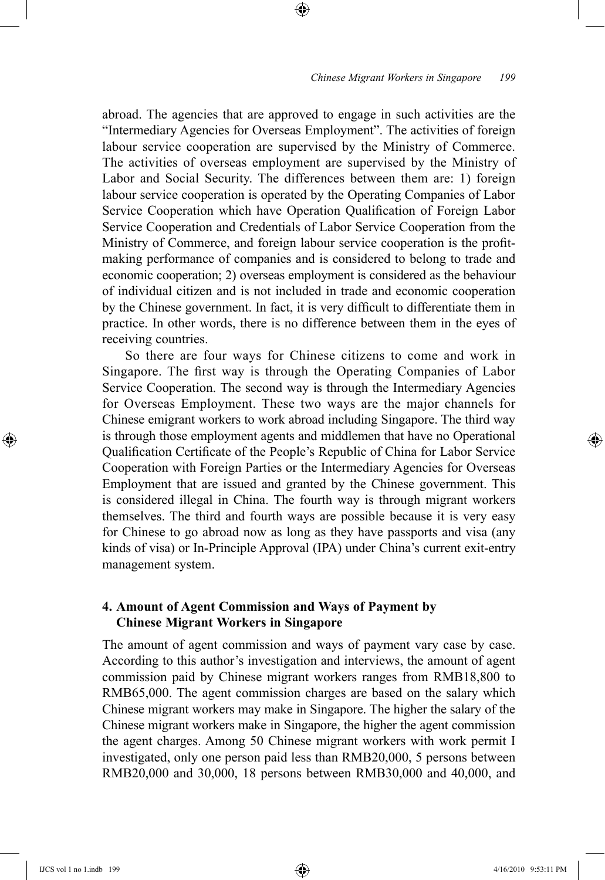abroad. The agencies that are approved to engage in such activities are the "Intermediary Agencies for Overseas Employment". The activities of foreign labour service cooperation are supervised by the Ministry of Commerce. The activities of overseas employment are supervised by the Ministry of Labor and Social Security. The differences between them are: 1) foreign labour service cooperation is operated by the Operating Companies of Labor Service Cooperation which have Operation Qualification of Foreign Labor Service Cooperation and Credentials of Labor Service Cooperation from the Ministry of Commerce, and foreign labour service cooperation is the profitmaking performance of companies and is considered to belong to trade and economic cooperation; 2) overseas employment is considered as the behaviour of individual citizen and is not included in trade and economic cooperation by the Chinese government. In fact, it is very difficult to differentiate them in practice. In other words, there is no difference between them in the eyes of receiving countries.

⊕

So there are four ways for Chinese citizens to come and work in Singapore. The first way is through the Operating Companies of Labor Service Cooperation. The second way is through the Intermediary Agencies for Overseas Employment. These two ways are the major channels for Chinese emigrant workers to work abroad including Singapore. The third way is through those employment agents and middlemen that have no Operational Qualification Certificate of the People's Republic of China for Labor Service Cooperation with Foreign Parties or the Intermediary Agencies for Overseas Employment that are issued and granted by the Chinese government. This is considered illegal in China. The fourth way is through migrant workers themselves. The third and fourth ways are possible because it is very easy for Chinese to go abroad now as long as they have passports and visa (any kinds of visa) or In-Principle Approval (IPA) under China's current exit-entry management system.

## **4. Amount of Agent Commission and Ways of Payment by Chinese Migrant Workers in Singapore**

The amount of agent commission and ways of payment vary case by case. According to this author's investigation and interviews, the amount of agent commission paid by Chinese migrant workers ranges from RMB18,800 to RMB65,000. The agent commission charges are based on the salary which Chinese migrant workers may make in Singapore. The higher the salary of the Chinese migrant workers make in Singapore, the higher the agent commission the agent charges. Among 50 Chinese migrant workers with work permit I investigated, only one person paid less than RMB20,000, 5 persons between RMB20,000 and 30,000, 18 persons between RMB30,000 and 40,000, and

⊕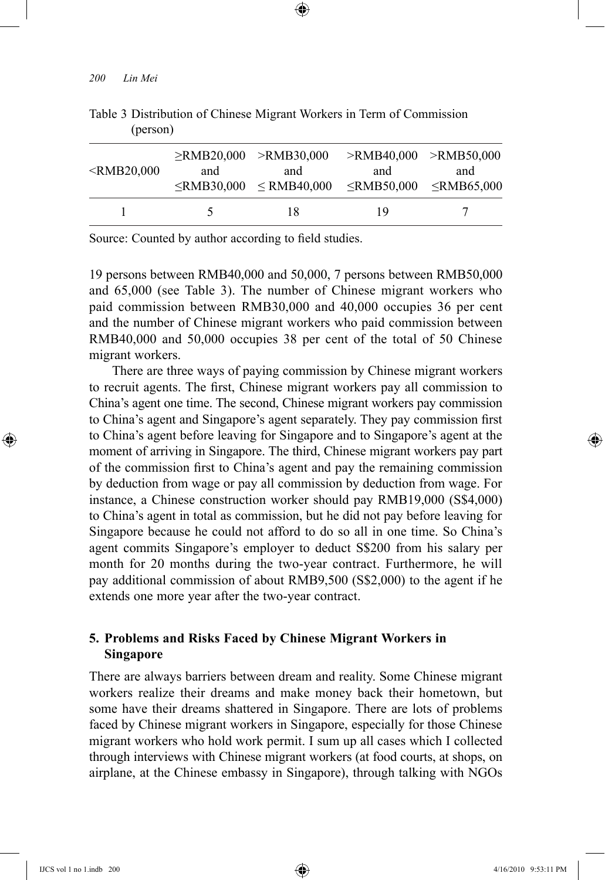| <rmb20,000< th=""><th>and</th><th><math>\ge</math>RMB20,000 <math>&gt;</math>RMB30,000<br/>and<br/><math>\le</math>RMB30,000 <math>\le</math>RMB40,000</th><th><math>&gt;</math>RMB40.000 <math>&gt;</math>RMB50.000<br/>and<br/><math>\le</math>RMB50,000 <math>\le</math>RMB65,000</th><th>and</th></rmb20,000<> | and | $\ge$ RMB20,000 $>$ RMB30,000<br>and<br>$\le$ RMB30,000 $\le$ RMB40,000 | $>$ RMB40.000 $>$ RMB50.000<br>and<br>$\le$ RMB50,000 $\le$ RMB65,000 | and |
|--------------------------------------------------------------------------------------------------------------------------------------------------------------------------------------------------------------------------------------------------------------------------------------------------------------------|-----|-------------------------------------------------------------------------|-----------------------------------------------------------------------|-----|
|                                                                                                                                                                                                                                                                                                                    |     | 18                                                                      | 19                                                                    |     |

⊕

Table 3 Distribution of Chinese Migrant Workers in Term of Commission (person)

Source: Counted by author according to field studies.

19 persons between RMB40,000 and 50,000, 7 persons between RMB50,000 and 65,000 (see Table 3). The number of Chinese migrant workers who paid commission between RMB30,000 and 40,000 occupies 36 per cent and the number of Chinese migrant workers who paid commission between RMB40,000 and 50,000 occupies 38 per cent of the total of 50 Chinese migrant workers.

There are three ways of paying commission by Chinese migrant workers to recruit agents. The first, Chinese migrant workers pay all commission to China's agent one time. The second, Chinese migrant workers pay commission to China's agent and Singapore's agent separately. They pay commission first to China's agent before leaving for Singapore and to Singapore's agent at the moment of arriving in Singapore. The third, Chinese migrant workers pay part of the commission first to China's agent and pay the remaining commission by deduction from wage or pay all commission by deduction from wage. For instance, a Chinese construction worker should pay RMB19,000 (S\$4,000) to China's agent in total as commission, but he did not pay before leaving for Singapore because he could not afford to do so all in one time. So China's agent commits Singapore's employer to deduct S\$200 from his salary per month for 20 months during the two-year contract. Furthermore, he will pay additional commission of about RMB9,500 (S\$2,000) to the agent if he extends one more year after the two-year contract.

# **5. Problems and Risks Faced by Chinese Migrant Workers in Singapore**

There are always barriers between dream and reality. Some Chinese migrant workers realize their dreams and make money back their hometown, but some have their dreams shattered in Singapore. There are lots of problems faced by Chinese migrant workers in Singapore, especially for those Chinese migrant workers who hold work permit. I sum up all cases which I collected through interviews with Chinese migrant workers (at food courts, at shops, on airplane, at the Chinese embassy in Singapore), through talking with NGOs

⊕

↔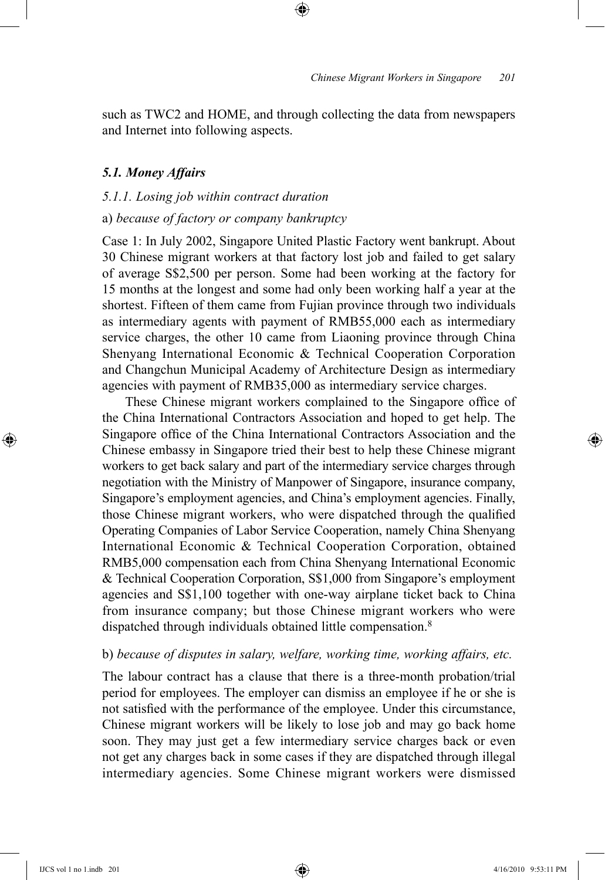such as TWC2 and HOME, and through collecting the data from newspapers and Internet into following aspects.

⊕

#### *5.1. Money Affairs*

### *5.1.1. Losing job within contract duration*

### a) *because of factory or company bankruptcy*

Case 1: In July 2002, Singapore United Plastic Factory went bankrupt. About 30 Chinese migrant workers at that factory lost job and failed to get salary of average S\$2,500 per person. Some had been working at the factory for 15 months at the longest and some had only been working half a year at the shortest. Fifteen of them came from Fujian province through two individuals as intermediary agents with payment of RMB55,000 each as intermediary service charges, the other 10 came from Liaoning province through China Shenyang International Economic & Technical Cooperation Corporation and Changchun Municipal Academy of Architecture Design as intermediary agencies with payment of RMB35,000 as intermediary service charges.

These Chinese migrant workers complained to the Singapore office of the China International Contractors Association and hoped to get help. The Singapore office of the China International Contractors Association and the Chinese embassy in Singapore tried their best to help these Chinese migrant workers to get back salary and part of the intermediary service charges through negotiation with the Ministry of Manpower of Singapore, insurance company, Singapore's employment agencies, and China's employment agencies. Finally, those Chinese migrant workers, who were dispatched through the qualified Operating Companies of Labor Service Cooperation, namely China Shenyang International Economic & Technical Cooperation Corporation, obtained RMB5,000 compensation each from China Shenyang International Economic & Technical Cooperation Corporation, S\$1,000 from Singapore's employment agencies and S\$1,100 together with one-way airplane ticket back to China from insurance company; but those Chinese migrant workers who were dispatched through individuals obtained little compensation.<sup>8</sup>

#### b) *because of disputes in salary, welfare, working time, working affairs, etc.*

The labour contract has a clause that there is a three-month probation/trial period for employees. The employer can dismiss an employee if he or she is not satisfied with the performance of the employee. Under this circumstance, Chinese migrant workers will be likely to lose job and may go back home soon. They may just get a few intermediary service charges back or even not get any charges back in some cases if they are dispatched through illegal intermediary agencies. Some Chinese migrant workers were dismissed

IJCS vol 1 no 1.indb 201 4/16/2010 9:53:11 PM

⊕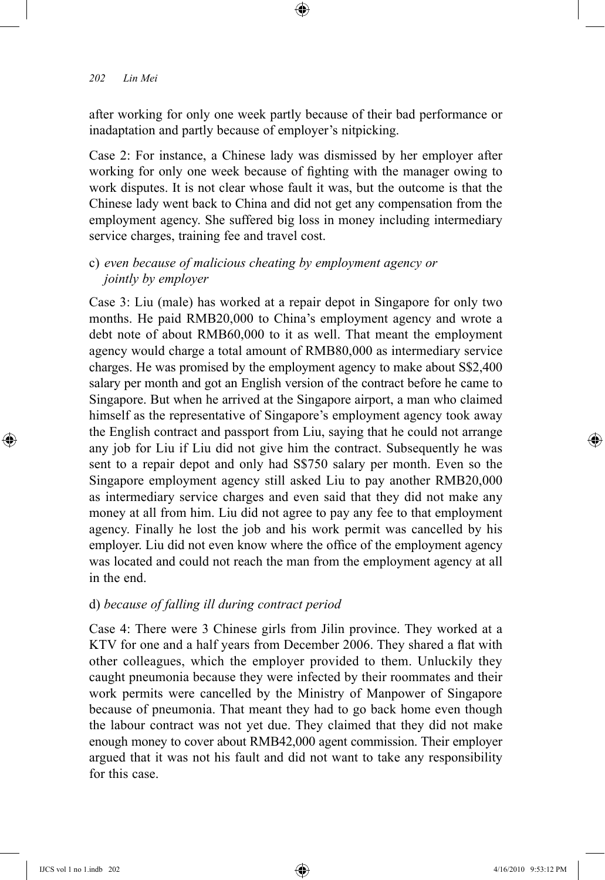after working for only one week partly because of their bad performance or inadaptation and partly because of employer's nitpicking.

⊕

Case 2: For instance, a Chinese lady was dismissed by her employer after working for only one week because of fighting with the manager owing to work disputes. It is not clear whose fault it was, but the outcome is that the Chinese lady went back to China and did not get any compensation from the employment agency. She suffered big loss in money including intermediary service charges, training fee and travel cost.

# c) *even because of malicious cheating by employment agency or jointly by employer*

Case 3: Liu (male) has worked at a repair depot in Singapore for only two months. He paid RMB20,000 to China's employment agency and wrote a debt note of about RMB60,000 to it as well. That meant the employment agency would charge a total amount of RMB80,000 as intermediary service charges. He was promised by the employment agency to make about S\$2,400 salary per month and got an English version of the contract before he came to Singapore. But when he arrived at the Singapore airport, a man who claimed himself as the representative of Singapore's employment agency took away the English contract and passport from Liu, saying that he could not arrange any job for Liu if Liu did not give him the contract. Subsequently he was sent to a repair depot and only had S\$750 salary per month. Even so the Singapore employment agency still asked Liu to pay another RMB20,000 as intermediary service charges and even said that they did not make any money at all from him. Liu did not agree to pay any fee to that employment agency. Finally he lost the job and his work permit was cancelled by his employer. Liu did not even know where the office of the employment agency was located and could not reach the man from the employment agency at all in the end.

### d) *because of falling ill during contract period*

Case 4: There were 3 Chinese girls from Jilin province. They worked at a KTV for one and a half years from December 2006. They shared a flat with other colleagues, which the employer provided to them. Unluckily they caught pneumonia because they were infected by their roommates and their work permits were cancelled by the Ministry of Manpower of Singapore because of pneumonia. That meant they had to go back home even though the labour contract was not yet due. They claimed that they did not make enough money to cover about RMB42,000 agent commission. Their employer argued that it was not his fault and did not want to take any responsibility for this case.

⊕

♠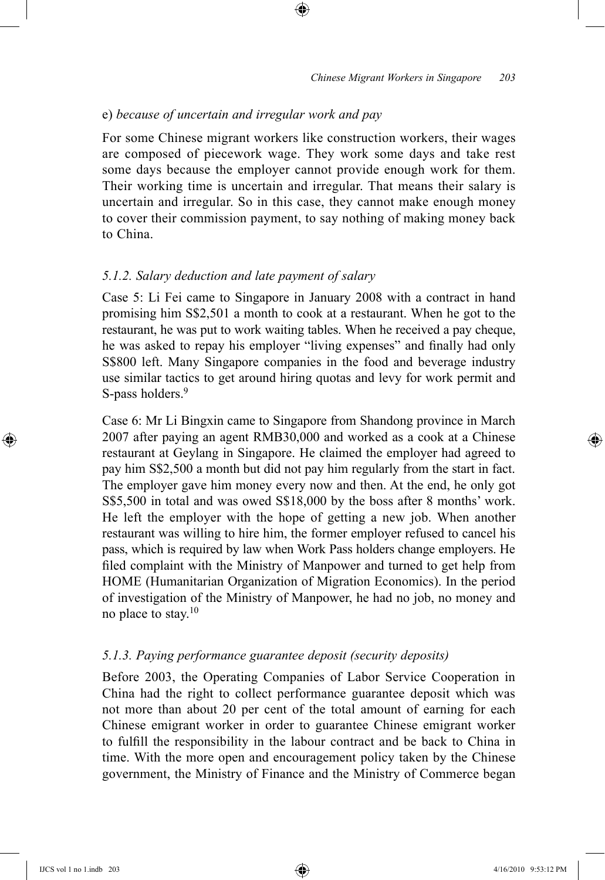### e) *because of uncertain and irregular work and pay*

For some Chinese migrant workers like construction workers, their wages are composed of piecework wage. They work some days and take rest some days because the employer cannot provide enough work for them. Their working time is uncertain and irregular. That means their salary is uncertain and irregular. So in this case, they cannot make enough money to cover their commission payment, to say nothing of making money back to China.

⊕

### *5.1.2. Salary deduction and late payment of salary*

Case 5: Li Fei came to Singapore in January 2008 with a contract in hand promising him S\$2,501 a month to cook at a restaurant. When he got to the restaurant, he was put to work waiting tables. When he received a pay cheque, he was asked to repay his employer "living expenses" and finally had only S\$800 left. Many Singapore companies in the food and beverage industry use similar tactics to get around hiring quotas and levy for work permit and S-pass holders.<sup>9</sup>

Case 6: Mr Li Bingxin came to Singapore from Shandong province in March 2007 after paying an agent RMB30,000 and worked as a cook at a Chinese restaurant at Geylang in Singapore. He claimed the employer had agreed to pay him S\$2,500 a month but did not pay him regularly from the start in fact. The employer gave him money every now and then. At the end, he only got S\$5,500 in total and was owed S\$18,000 by the boss after 8 months' work. He left the employer with the hope of getting a new job. When another restaurant was willing to hire him, the former employer refused to cancel his pass, which is required by law when Work Pass holders change employers. He filed complaint with the Ministry of Manpower and turned to get help from HOME (Humanitarian Organization of Migration Economics). In the period of investigation of the Ministry of Manpower, he had no job, no money and no place to stay.10

#### *5.1.3. Paying performance guarantee deposit (security deposits)*

Before 2003, the Operating Companies of Labor Service Cooperation in China had the right to collect performance guarantee deposit which was not more than about 20 per cent of the total amount of earning for each Chinese emigrant worker in order to guarantee Chinese emigrant worker to fulfill the responsibility in the labour contract and be back to China in time. With the more open and encouragement policy taken by the Chinese government, the Ministry of Finance and the Ministry of Commerce began

⊕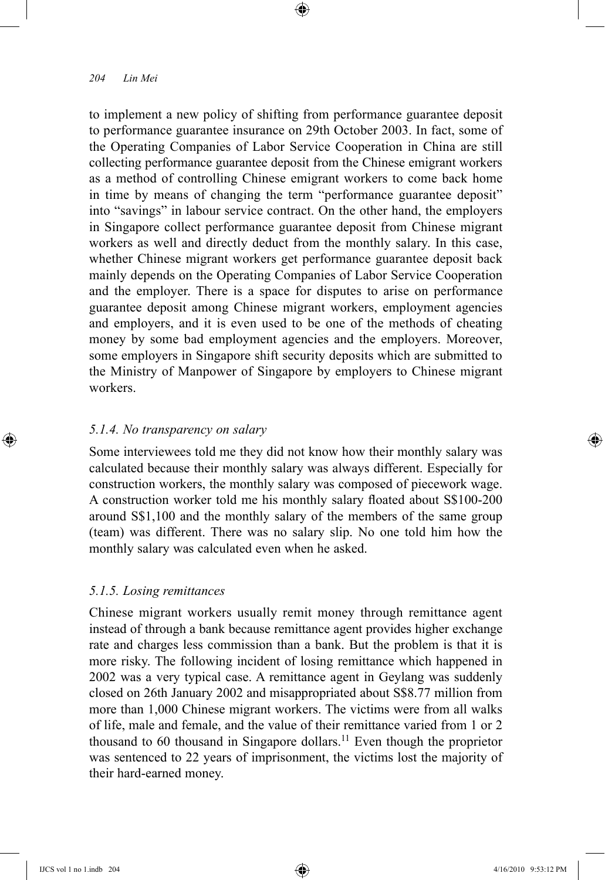to implement a new policy of shifting from performance guarantee deposit to performance guarantee insurance on 29th October 2003. In fact, some of the Operating Companies of Labor Service Cooperation in China are still collecting performance guarantee deposit from the Chinese emigrant workers as a method of controlling Chinese emigrant workers to come back home in time by means of changing the term "performance guarantee deposit" into "savings" in labour service contract. On the other hand, the employers in Singapore collect performance guarantee deposit from Chinese migrant workers as well and directly deduct from the monthly salary. In this case, whether Chinese migrant workers get performance guarantee deposit back mainly depends on the Operating Companies of Labor Service Cooperation and the employer. There is a space for disputes to arise on performance guarantee deposit among Chinese migrant workers, employment agencies and employers, and it is even used to be one of the methods of cheating money by some bad employment agencies and the employers. Moreover, some employers in Singapore shift security deposits which are submitted to the Ministry of Manpower of Singapore by employers to Chinese migrant workers.

⊕

# *5.1.4. No transparency on salary*

Some interviewees told me they did not know how their monthly salary was calculated because their monthly salary was always different. Especially for construction workers, the monthly salary was composed of piecework wage. A construction worker told me his monthly salary floated about S\$100-200 around S\$1,100 and the monthly salary of the members of the same group (team) was different. There was no salary slip. No one told him how the monthly salary was calculated even when he asked.

### *5.1.5. Losing remittances*

Chinese migrant workers usually remit money through remittance agent instead of through a bank because remittance agent provides higher exchange rate and charges less commission than a bank. But the problem is that it is more risky. The following incident of losing remittance which happened in 2002 was a very typical case. A remittance agent in Geylang was suddenly closed on 26th January 2002 and misappropriated about S\$8.77 million from more than 1,000 Chinese migrant workers. The victims were from all walks of life, male and female, and the value of their remittance varied from 1 or 2 thousand to 60 thousand in Singapore dollars.<sup>11</sup> Even though the proprietor was sentenced to 22 years of imprisonment, the victims lost the majority of their hard-earned money.

⊕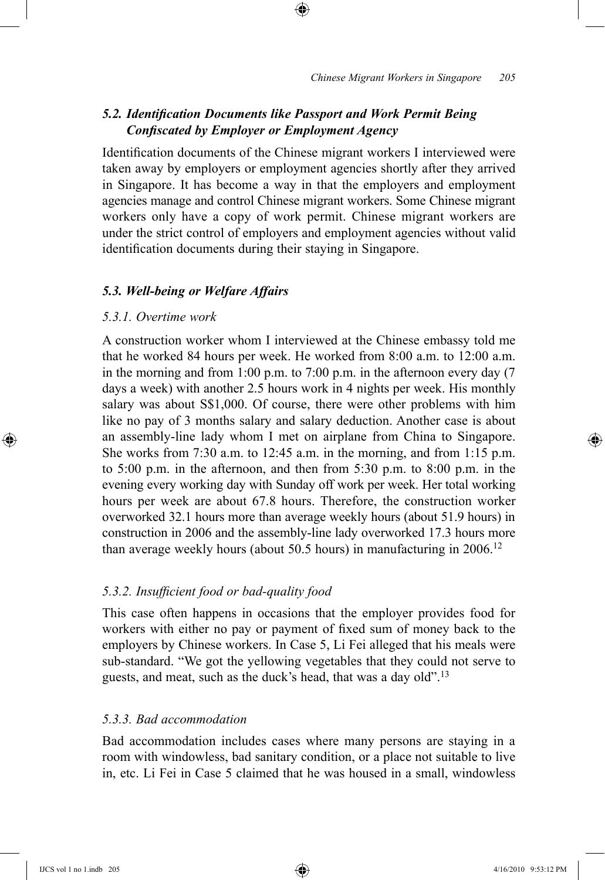# *5.2. Identification Documents like Passport and Work Permit Being Confiscated by Employer or Employment Agency*

⊕

Identification documents of the Chinese migrant workers I interviewed were taken away by employers or employment agencies shortly after they arrived in Singapore. It has become a way in that the employers and employment agencies manage and control Chinese migrant workers. Some Chinese migrant workers only have a copy of work permit. Chinese migrant workers are under the strict control of employers and employment agencies without valid identification documents during their staying in Singapore.

#### *5.3. Well-being or Welfare Affairs*

#### *5.3.1. Overtime work*

A construction worker whom I interviewed at the Chinese embassy told me that he worked 84 hours per week. He worked from 8:00 a.m. to 12:00 a.m. in the morning and from 1:00 p.m. to 7:00 p.m. in the afternoon every day (7 days a week) with another 2.5 hours work in 4 nights per week. His monthly salary was about S\$1,000. Of course, there were other problems with him like no pay of 3 months salary and salary deduction. Another case is about an assembly-line lady whom I met on airplane from China to Singapore. She works from 7:30 a.m. to 12:45 a.m. in the morning, and from 1:15 p.m. to 5:00 p.m. in the afternoon, and then from 5:30 p.m. to 8:00 p.m. in the evening every working day with Sunday off work per week. Her total working hours per week are about 67.8 hours. Therefore, the construction worker overworked 32.1 hours more than average weekly hours (about 51.9 hours) in construction in 2006 and the assembly-line lady overworked 17.3 hours more than average weekly hours (about 50.5 hours) in manufacturing in 2006.<sup>12</sup>

#### *5.3.2. Insufficient food or bad-quality food*

This case often happens in occasions that the employer provides food for workers with either no pay or payment of fixed sum of money back to the employers by Chinese workers. In Case 5, Li Fei alleged that his meals were sub-standard. "We got the yellowing vegetables that they could not serve to guests, and meat, such as the duck's head, that was a day old".13

### *5.3.3. Bad accommodation*

Bad accommodation includes cases where many persons are staying in a room with windowless, bad sanitary condition, or a place not suitable to live in, etc. Li Fei in Case 5 claimed that he was housed in a small, windowless

⊕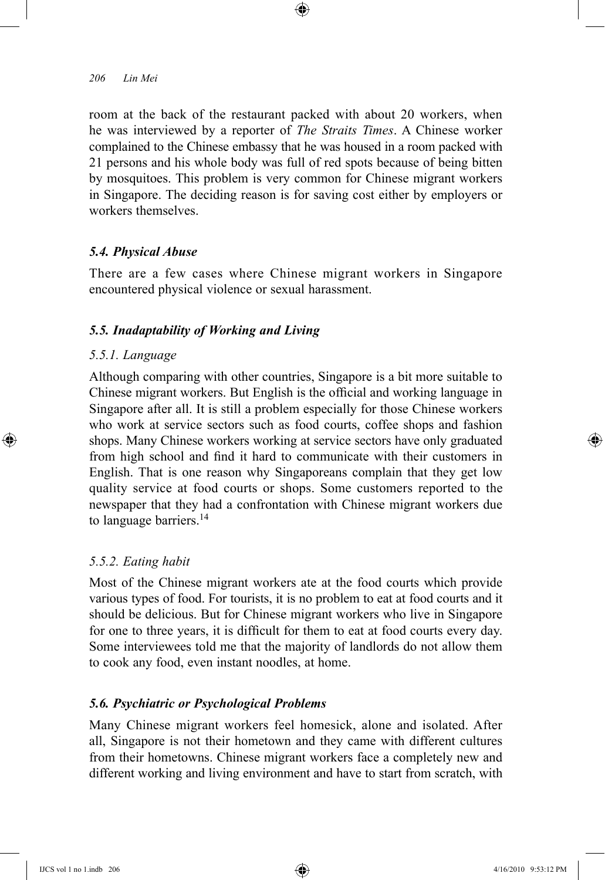room at the back of the restaurant packed with about 20 workers, when he was interviewed by a reporter of *The Straits Times*. A Chinese worker complained to the Chinese embassy that he was housed in a room packed with 21 persons and his whole body was full of red spots because of being bitten by mosquitoes. This problem is very common for Chinese migrant workers in Singapore. The deciding reason is for saving cost either by employers or workers themselves.

⊕

### *5.4. Physical Abuse*

There are a few cases where Chinese migrant workers in Singapore encountered physical violence or sexual harassment.

### *5.5. Inadaptability of Working and Living*

#### *5.5.1. Language*

⊕

Although comparing with other countries, Singapore is a bit more suitable to Chinese migrant workers. But English is the official and working language in Singapore after all. It is still a problem especially for those Chinese workers who work at service sectors such as food courts, coffee shops and fashion shops. Many Chinese workers working at service sectors have only graduated from high school and find it hard to communicate with their customers in English. That is one reason why Singaporeans complain that they get low quality service at food courts or shops. Some customers reported to the newspaper that they had a confrontation with Chinese migrant workers due to language barriers.<sup>14</sup>

#### *5.5.2. Eating habit*

Most of the Chinese migrant workers ate at the food courts which provide various types of food. For tourists, it is no problem to eat at food courts and it should be delicious. But for Chinese migrant workers who live in Singapore for one to three years, it is difficult for them to eat at food courts every day. Some interviewees told me that the majority of landlords do not allow them to cook any food, even instant noodles, at home.

#### *5.6. Psychiatric or Psychological Problems*

Many Chinese migrant workers feel homesick, alone and isolated. After all, Singapore is not their hometown and they came with different cultures from their hometowns. Chinese migrant workers face a completely new and different working and living environment and have to start from scratch, with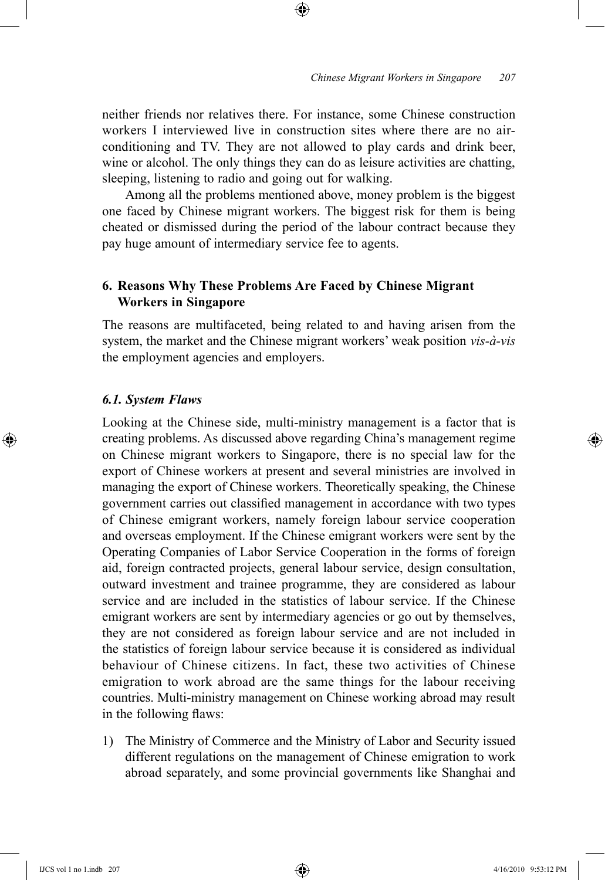neither friends nor relatives there. For instance, some Chinese construction workers I interviewed live in construction sites where there are no airconditioning and TV. They are not allowed to play cards and drink beer, wine or alcohol. The only things they can do as leisure activities are chatting, sleeping, listening to radio and going out for walking.

⊕

Among all the problems mentioned above, money problem is the biggest one faced by Chinese migrant workers. The biggest risk for them is being cheated or dismissed during the period of the labour contract because they pay huge amount of intermediary service fee to agents.

# **6. Reasons Why These Problems Are Faced by Chinese Migrant Workers in Singapore**

The reasons are multifaceted, being related to and having arisen from the system, the market and the Chinese migrant workers' weak position *vis-à-vis* the employment agencies and employers.

#### *6.1. System Flaws*

⊕

Looking at the Chinese side, multi-ministry management is a factor that is creating problems. As discussed above regarding China's management regime on Chinese migrant workers to Singapore, there is no special law for the export of Chinese workers at present and several ministries are involved in managing the export of Chinese workers. Theoretically speaking, the Chinese government carries out classified management in accordance with two types of Chinese emigrant workers, namely foreign labour service cooperation and overseas employment. If the Chinese emigrant workers were sent by the Operating Companies of Labor Service Cooperation in the forms of foreign aid, foreign contracted projects, general labour service, design consultation, outward investment and trainee programme, they are considered as labour service and are included in the statistics of labour service. If the Chinese emigrant workers are sent by intermediary agencies or go out by themselves, they are not considered as foreign labour service and are not included in the statistics of foreign labour service because it is considered as individual behaviour of Chinese citizens. In fact, these two activities of Chinese emigration to work abroad are the same things for the labour receiving countries. Multi-ministry management on Chinese working abroad may result in the following flaws:

1) The Ministry of Commerce and the Ministry of Labor and Security issued different regulations on the management of Chinese emigration to work abroad separately, and some provincial governments like Shanghai and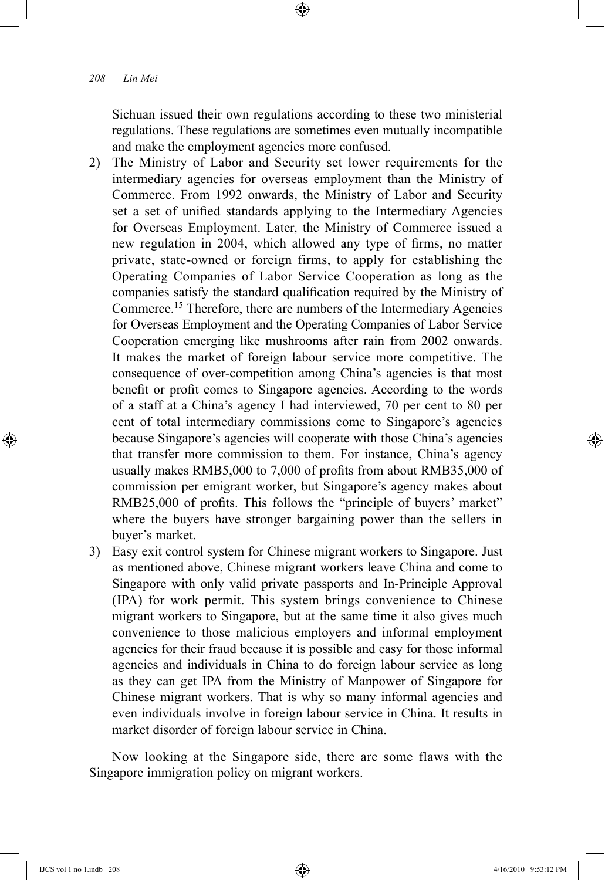Sichuan issued their own regulations according to these two ministerial regulations. These regulations are sometimes even mutually incompatible and make the employment agencies more confused.

⊕

- 2) The Ministry of Labor and Security set lower requirements for the intermediary agencies for overseas employment than the Ministry of Commerce. From 1992 onwards, the Ministry of Labor and Security set a set of unified standards applying to the Intermediary Agencies for Overseas Employment. Later, the Ministry of Commerce issued a new regulation in 2004, which allowed any type of firms, no matter private, state-owned or foreign firms, to apply for establishing the Operating Companies of Labor Service Cooperation as long as the companies satisfy the standard qualification required by the Ministry of Commerce.15 Therefore, there are numbers of the Intermediary Agencies for Overseas Employment and the Operating Companies of Labor Service Cooperation emerging like mushrooms after rain from 2002 onwards. It makes the market of foreign labour service more competitive. The consequence of over-competition among China's agencies is that most benefit or profit comes to Singapore agencies. According to the words of a staff at a China's agency I had interviewed, 70 per cent to 80 per cent of total intermediary commissions come to Singapore's agencies because Singapore's agencies will cooperate with those China's agencies that transfer more commission to them. For instance, China's agency usually makes RMB5,000 to 7,000 of profits from about RMB35,000 of commission per emigrant worker, but Singapore's agency makes about RMB25,000 of profits. This follows the "principle of buyers' market" where the buyers have stronger bargaining power than the sellers in buyer's market.
- 3) Easy exit control system for Chinese migrant workers to Singapore. Just as mentioned above, Chinese migrant workers leave China and come to Singapore with only valid private passports and In-Principle Approval (IPA) for work permit. This system brings convenience to Chinese migrant workers to Singapore, but at the same time it also gives much convenience to those malicious employers and informal employment agencies for their fraud because it is possible and easy for those informal agencies and individuals in China to do foreign labour service as long as they can get IPA from the Ministry of Manpower of Singapore for Chinese migrant workers. That is why so many informal agencies and even individuals involve in foreign labour service in China. It results in market disorder of foreign labour service in China.

Now looking at the Singapore side, there are some flaws with the Singapore immigration policy on migrant workers.

⊕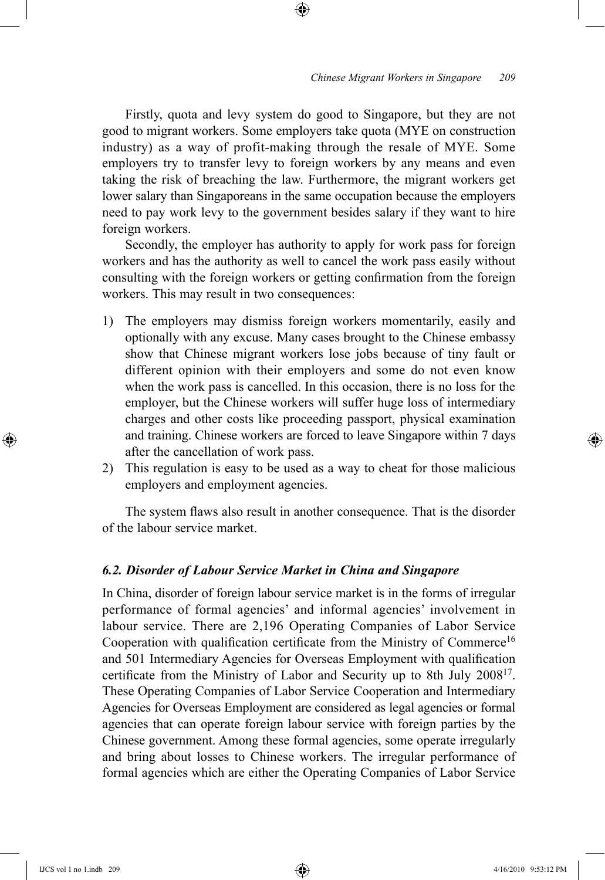Firstly, quota and levy system do good to Singapore, but they are not good to migrant workers. Some employers take quota (MYE on construction industry) as a way of profit-making through the resale of MYE. Some employers try to transfer levy to foreign workers by any means and even taking the risk of breaching the law. Furthermore, the migrant workers get lower salary than Singaporeans in the same occupation because the employers need to pay work levy to the government besides salary if they want to hire foreign workers.

⊕

Secondly, the employer has authority to apply for work pass for foreign workers and has the authority as well to cancel the work pass easily without consulting with the foreign workers or getting confirmation from the foreign workers. This may result in two consequences:

- 1) The employers may dismiss foreign workers momentarily, easily and optionally with any excuse. Many cases brought to the Chinese embassy show that Chinese migrant workers lose jobs because of tiny fault or different opinion with their employers and some do not even know when the work pass is cancelled. In this occasion, there is no loss for the employer, but the Chinese workers will suffer huge loss of intermediary charges and other costs like proceeding passport, physical examination and training. Chinese workers are forced to leave Singapore within 7 days after the cancellation of work pass.
- 2) This regulation is easy to be used as a way to cheat for those malicious employers and employment agencies.

The system flaws also result in another consequence. That is the disorder of the labour service market.

### *6.2. Disorder of Labour Service Market in China and Singapore*

In China, disorder of foreign labour service market is in the forms of irregular performance of formal agencies' and informal agencies' involvement in labour service. There are 2,196 Operating Companies of Labor Service Cooperation with qualification certificate from the Ministry of Commerce<sup>16</sup> and 501 Intermediary Agencies for Overseas Employment with qualification certificate from the Ministry of Labor and Security up to 8th July 200817. These Operating Companies of Labor Service Cooperation and Intermediary Agencies for Overseas Employment are considered as legal agencies or formal agencies that can operate foreign labour service with foreign parties by the Chinese government. Among these formal agencies, some operate irregularly and bring about losses to Chinese workers. The irregular performance of formal agencies which are either the Operating Companies of Labor Service

⊕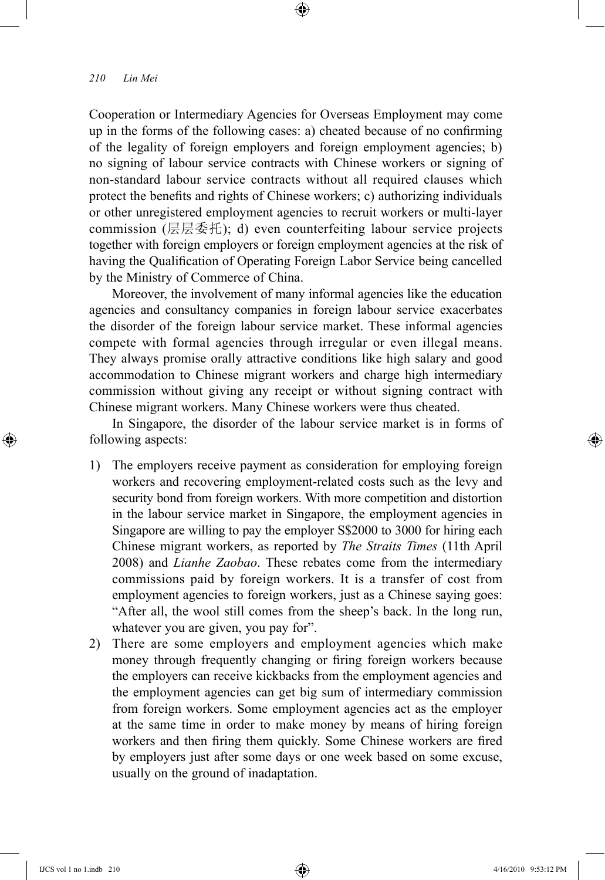Cooperation or Intermediary Agencies for Overseas Employment may come up in the forms of the following cases: a) cheated because of no confirming of the legality of foreign employers and foreign employment agencies; b) no signing of labour service contracts with Chinese workers or signing of non-standard labour service contracts without all required clauses which protect the benefits and rights of Chinese workers; c) authorizing individuals or other unregistered employment agencies to recruit workers or multi-layer commission (层层委托); d) even counterfeiting labour service projects together with foreign employers or foreign employment agencies at the risk of having the Qualification of Operating Foreign Labor Service being cancelled by the Ministry of Commerce of China.

⊕

Moreover, the involvement of many informal agencies like the education agencies and consultancy companies in foreign labour service exacerbates the disorder of the foreign labour service market. These informal agencies compete with formal agencies through irregular or even illegal means. They always promise orally attractive conditions like high salary and good accommodation to Chinese migrant workers and charge high intermediary commission without giving any receipt or without signing contract with Chinese migrant workers. Many Chinese workers were thus cheated.

In Singapore, the disorder of the labour service market is in forms of following aspects:

- 1) The employers receive payment as consideration for employing foreign workers and recovering employment-related costs such as the levy and security bond from foreign workers. With more competition and distortion in the labour service market in Singapore, the employment agencies in Singapore are willing to pay the employer S\$2000 to 3000 for hiring each Chinese migrant workers, as reported by *The Straits Times* (11th April 2008) and *Lianhe Zaobao*. These rebates come from the intermediary commissions paid by foreign workers. It is a transfer of cost from employment agencies to foreign workers, just as a Chinese saying goes: "After all, the wool still comes from the sheep's back. In the long run, whatever you are given, you pay for".
- 2) There are some employers and employment agencies which make money through frequently changing or firing foreign workers because the employers can receive kickbacks from the employment agencies and the employment agencies can get big sum of intermediary commission from foreign workers. Some employment agencies act as the employer at the same time in order to make money by means of hiring foreign workers and then firing them quickly. Some Chinese workers are fired by employers just after some days or one week based on some excuse, usually on the ground of inadaptation.

⊕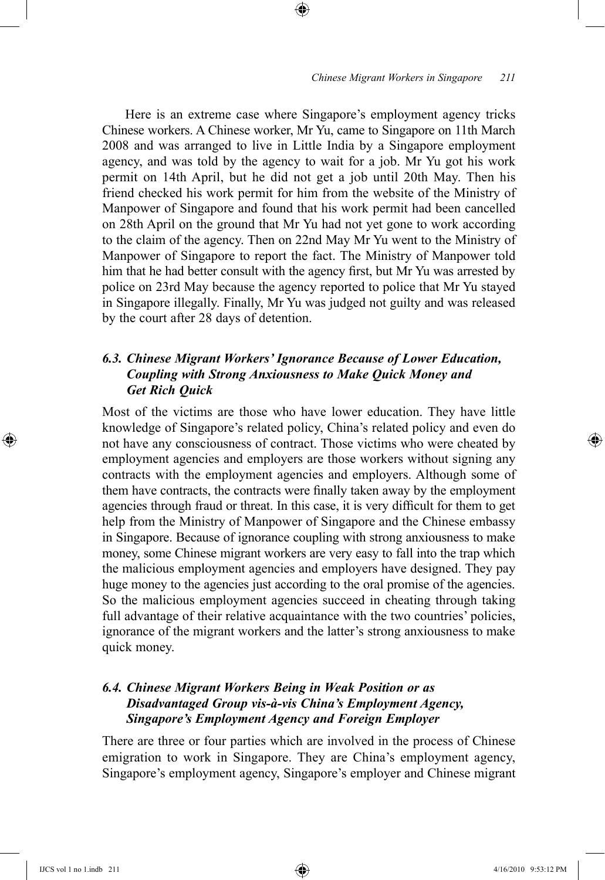#### *Chinese Migrant Workers in Singapore 211*

Here is an extreme case where Singapore's employment agency tricks Chinese workers. A Chinese worker, Mr Yu, came to Singapore on 11th March 2008 and was arranged to live in Little India by a Singapore employment agency, and was told by the agency to wait for a job. Mr Yu got his work permit on 14th April, but he did not get a job until 20th May. Then his friend checked his work permit for him from the website of the Ministry of Manpower of Singapore and found that his work permit had been cancelled on 28th April on the ground that Mr Yu had not yet gone to work according to the claim of the agency. Then on 22nd May Mr Yu went to the Ministry of Manpower of Singapore to report the fact. The Ministry of Manpower told him that he had better consult with the agency first, but Mr Yu was arrested by police on 23rd May because the agency reported to police that Mr Yu stayed in Singapore illegally. Finally, Mr Yu was judged not guilty and was released by the court after 28 days of detention.

⊕

# *6.3. Chinese Migrant Workers' Ignorance Because of Lower Education, Coupling with Strong Anxiousness to Make Quick Money and Get Rich Quick*

Most of the victims are those who have lower education. They have little knowledge of Singapore's related policy, China's related policy and even do not have any consciousness of contract. Those victims who were cheated by employment agencies and employers are those workers without signing any contracts with the employment agencies and employers. Although some of them have contracts, the contracts were finally taken away by the employment agencies through fraud or threat. In this case, it is very difficult for them to get help from the Ministry of Manpower of Singapore and the Chinese embassy in Singapore. Because of ignorance coupling with strong anxiousness to make money, some Chinese migrant workers are very easy to fall into the trap which the malicious employment agencies and employers have designed. They pay huge money to the agencies just according to the oral promise of the agencies. So the malicious employment agencies succeed in cheating through taking full advantage of their relative acquaintance with the two countries' policies, ignorance of the migrant workers and the latter's strong anxiousness to make quick money.

# *6.4. Chinese Migrant Workers Being in Weak Position or as Disadvantaged Group vis-à-vis China's Employment Agency, Singapore's Employment Agency and Foreign Employer*

There are three or four parties which are involved in the process of Chinese emigration to work in Singapore. They are China's employment agency, Singapore's employment agency, Singapore's employer and Chinese migrant

IJCS vol 1 no 1.indb 211 4/16/2010 9:53:12 PM

⊕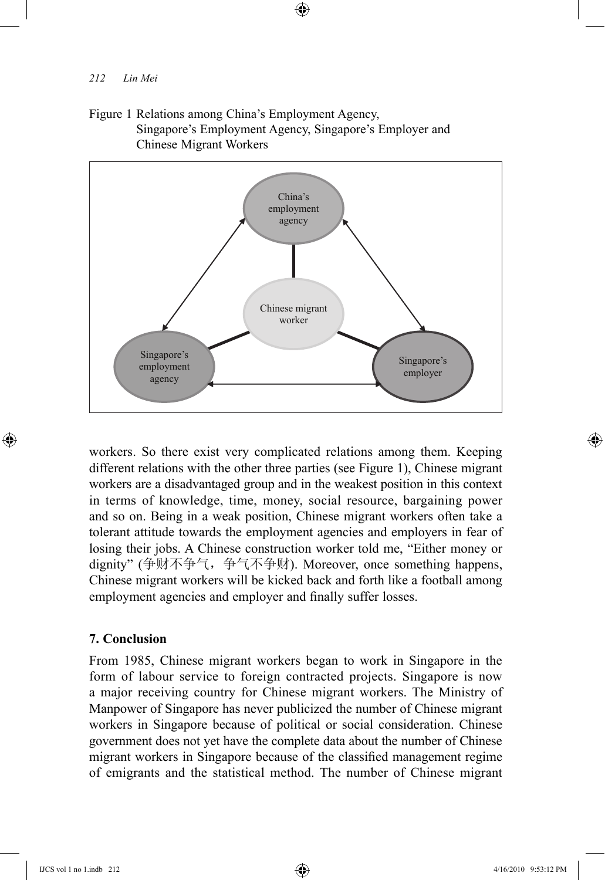Figure 1 Relations among China's Employment Agency, Singapore's Employment Agency, Singapore's Employer and Chinese Migrant Workers

⊕



workers. So there exist very complicated relations among them. Keeping different relations with the other three parties (see Figure 1), Chinese migrant workers are a disadvantaged group and in the weakest position in this context in terms of knowledge, time, money, social resource, bargaining power and so on. Being in a weak position, Chinese migrant workers often take a tolerant attitude towards the employment agencies and employers in fear of losing their jobs. A Chinese construction worker told me, "Either money or dignity" (争财不争气,争气不争财). Moreover, once something happens, Chinese migrant workers will be kicked back and forth like a football among employment agencies and employer and finally suffer losses.

# **7. Conclusion**

From 1985, Chinese migrant workers began to work in Singapore in the form of labour service to foreign contracted projects. Singapore is now a major receiving country for Chinese migrant workers. The Ministry of Manpower of Singapore has never publicized the number of Chinese migrant workers in Singapore because of political or social consideration. Chinese government does not yet have the complete data about the number of Chinese migrant workers in Singapore because of the classified management regime of emigrants and the statistical method. The number of Chinese migrant

⊕

♠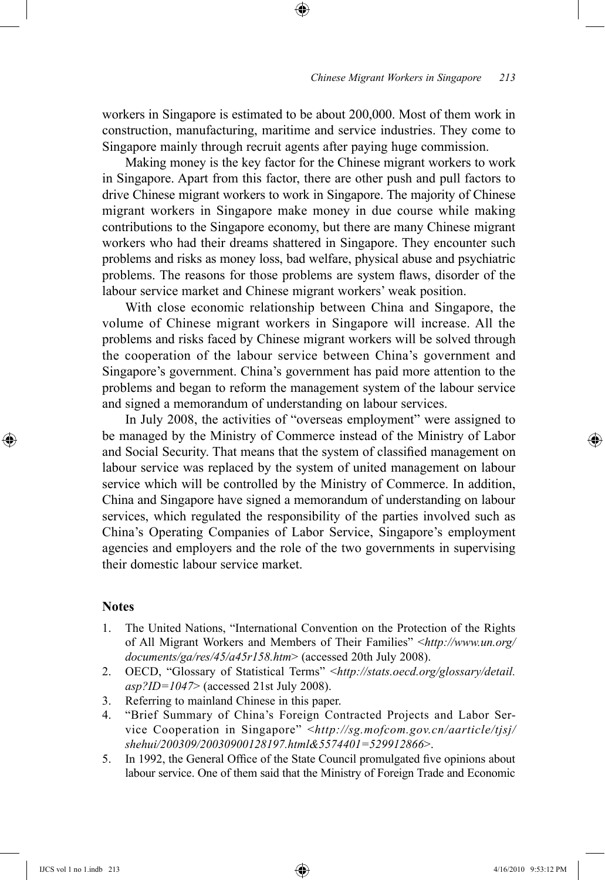workers in Singapore is estimated to be about 200,000. Most of them work in construction, manufacturing, maritime and service industries. They come to Singapore mainly through recruit agents after paying huge commission.

⊕

Making money is the key factor for the Chinese migrant workers to work in Singapore. Apart from this factor, there are other push and pull factors to drive Chinese migrant workers to work in Singapore. The majority of Chinese migrant workers in Singapore make money in due course while making contributions to the Singapore economy, but there are many Chinese migrant workers who had their dreams shattered in Singapore. They encounter such problems and risks as money loss, bad welfare, physical abuse and psychiatric problems. The reasons for those problems are system flaws, disorder of the labour service market and Chinese migrant workers' weak position.

With close economic relationship between China and Singapore, the volume of Chinese migrant workers in Singapore will increase. All the problems and risks faced by Chinese migrant workers will be solved through the cooperation of the labour service between China's government and Singapore's government. China's government has paid more attention to the problems and began to reform the management system of the labour service and signed a memorandum of understanding on labour services.

In July 2008, the activities of "overseas employment" were assigned to be managed by the Ministry of Commerce instead of the Ministry of Labor and Social Security. That means that the system of classified management on labour service was replaced by the system of united management on labour service which will be controlled by the Ministry of Commerce. In addition, China and Singapore have signed a memorandum of understanding on labour services, which regulated the responsibility of the parties involved such as China's Operating Companies of Labor Service, Singapore's employment agencies and employers and the role of the two governments in supervising their domestic labour service market.

### **Notes**

⊕

- 1. The United Nations, "International Convention on the Protection of the Rights of All Migrant Workers and Members of Their Families" <*http://www.un.org/ documents/ga/res/45/a45r158.htm*> (accessed 20th July 2008).
- 2. OECD, "Glossary of Statistical Terms" <*http://stats.oecd.org/glossary/detail. asp?ID=1047*> (accessed 21st July 2008).
- 3. Referring to mainland Chinese in this paper.
- 4. "Brief Summary of China's Foreign Contracted Projects and Labor Service Cooperation in Singapore" <*http://sg.mofcom.gov.cn/aarticle/tjsj/ shehui/200309/20030900128197.html&5574401=529912866*>.
- 5. In 1992, the General Office of the State Council promulgated five opinions about labour service. One of them said that the Ministry of Foreign Trade and Economic

IJCS vol 1 no 1.indb 213 4/16/2010 9:53:12 PM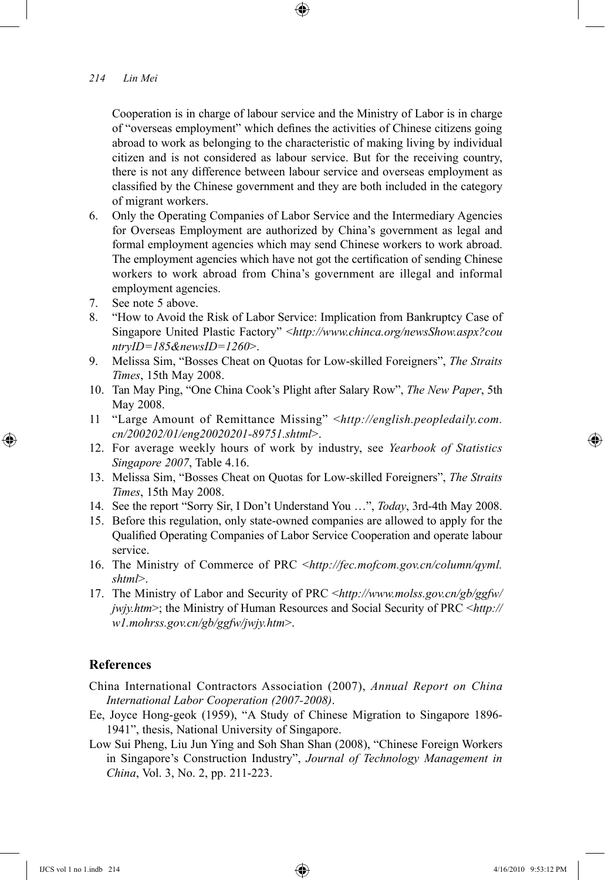Cooperation is in charge of labour service and the Ministry of Labor is in charge of "overseas employment" which defines the activities of Chinese citizens going abroad to work as belonging to the characteristic of making living by individual citizen and is not considered as labour service. But for the receiving country, there is not any difference between labour service and overseas employment as classified by the Chinese government and they are both included in the category of migrant workers.

⊕

- 6. Only the Operating Companies of Labor Service and the Intermediary Agencies for Overseas Employment are authorized by China's government as legal and formal employment agencies which may send Chinese workers to work abroad. The employment agencies which have not got the certification of sending Chinese workers to work abroad from China's government are illegal and informal employment agencies.
- 7. See note 5 above.
- 8. "How to Avoid the Risk of Labor Service: Implication from Bankruptcy Case of Singapore United Plastic Factory" <*http://www.chinca.org/newsShow.aspx?cou ntryID=185&newsID=1260*>.
- 9. Melissa Sim, "Bosses Cheat on Quotas for Low-skilled Foreigners", *The Straits Times*, 15th May 2008.
- 10. Tan May Ping, "One China Cook's Plight after Salary Row", *The New Paper*, 5th May 2008.
- 11 "Large Amount of Remittance Missing" <*http://english.peopledaily.com. cn/200202/01/eng20020201-89751.shtml*>.
- 12. For average weekly hours of work by industry, see *Yearbook of Statistics Singapore 2007*, Table 4.16.
- 13. Melissa Sim, "Bosses Cheat on Quotas for Low-skilled Foreigners", *The Straits Times*, 15th May 2008.
- 14. See the report "Sorry Sir, I Don't Understand You …", *Today*, 3rd-4th May 2008.
- 15. Before this regulation, only state-owned companies are allowed to apply for the Qualified Operating Companies of Labor Service Cooperation and operate labour service.
- 16. The Ministry of Commerce of PRC <*http://fec.mofcom.gov.cn/column/qyml. shtml*>.
- 17. The Ministry of Labor and Security of PRC <*http://www.molss.gov.cn/gb/ggfw/ jwjy.htm*>; the Ministry of Human Resources and Social Security of PRC <*http:// w1.mohrss.gov.cn/gb/ggfw/jwjy.htm*>.

# **References**

⊕

China International Contractors Association (2007), *Annual Report on China International Labor Cooperation (2007-2008)*.

- Ee, Joyce Hong-geok (1959), "A Study of Chinese Migration to Singapore 1896- 1941", thesis, National University of Singapore.
- Low Sui Pheng, Liu Jun Ying and Soh Shan Shan (2008), "Chinese Foreign Workers in Singapore's Construction Industry", *Journal of Technology Management in China*, Vol. 3, No. 2, pp. 211-223.